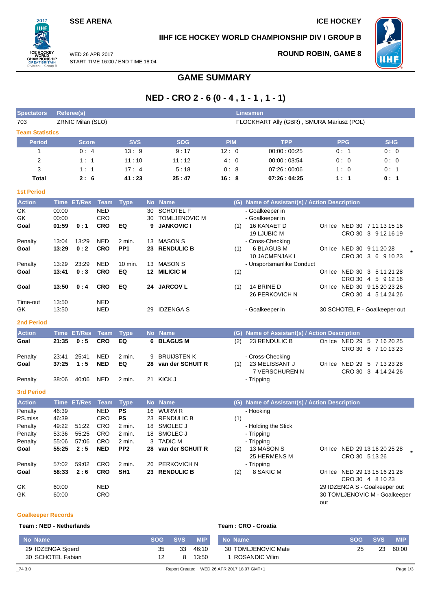## **SSE ARENA ICE HOCKEY**

 $2017$ пні

### **IIHF ICE HOCKEY WORLD CHAMPIONSHIP DIV I GROUP B**



WED 26 APR 2017 START TIME 16:00 / END TIME 18:04

# **ROUND ROBIN, GAME 8**

# **GAME SUMMARY**

# **NED - CRO 2 - 6 (0 - 4 , 1 - 1 , 1 - 1)**

| <b>Spectators</b>      |                                                                | <b>Referee(s)</b> |             |                 |    |                      |      |            | <b>Linesmen</b>                               |                |                               |
|------------------------|----------------------------------------------------------------|-------------------|-------------|-----------------|----|----------------------|------|------------|-----------------------------------------------|----------------|-------------------------------|
| 703                    | ZRNIC Milan (SLO)<br>FLOCKHART Ally (GBR), SMURA Mariusz (POL) |                   |             |                 |    |                      |      |            |                                               |                |                               |
| <b>Team Statistics</b> |                                                                |                   |             |                 |    |                      |      |            |                                               |                |                               |
| <b>Period</b>          |                                                                | <b>Score</b>      |             | <b>SVS</b>      |    | <b>SOG</b>           |      | <b>PIM</b> | <b>TPP</b>                                    | <b>PPG</b>     | <b>SHG</b>                    |
| $\mathbf{1}$           |                                                                | 0:4               |             | 13:9            |    | 9:17                 | 12:0 |            | 00:00:00:25                                   | 0:1            | 0:0                           |
| $\boldsymbol{2}$       |                                                                | 1:1               |             | 11:10           |    | 11:12                | 4:0  |            | 00:00:03:54                                   | 0:0            | 0:0                           |
| 3                      |                                                                | 1:1               |             | 17:4            |    | 5:18                 |      | 0:8        | 07:26:00:06                                   | 1:0            | 0:1                           |
| Total                  |                                                                | 2:6               |             | 41:23           |    | 25:47                | 16:8 |            | 07:26:04:25                                   | 1:1            | 0:1                           |
| <b>1st Period</b>      |                                                                |                   |             |                 |    |                      |      |            |                                               |                |                               |
| <b>Action</b>          |                                                                | Time ET/Res       | <b>Team</b> | <b>Type</b>     |    | No Name              |      |            | (G) Name of Assistant(s) / Action Description |                |                               |
| GK                     | 00:00                                                          |                   | <b>NED</b>  |                 | 30 | <b>SCHOTEL F</b>     |      |            | - Goalkeeper in                               |                |                               |
| GK                     | 00:00                                                          |                   | <b>CRO</b>  |                 | 30 | <b>TOMLJENOVIC M</b> |      |            | - Goalkeeper in                               |                |                               |
| Goal                   | 01:59                                                          | 0:1               | <b>CRO</b>  | EQ              | 9  | <b>JANKOVIC I</b>    |      | (1)        | 16 KANAET D                                   |                | On Ice NED 30 7 11 13 15 16   |
|                        |                                                                |                   |             |                 |    |                      |      |            | 19 LJUBIC M                                   |                | CRO 30 3 9 12 16 19           |
| Penalty                | 13:04                                                          | 13:29             | <b>NED</b>  | 2 min.          | 13 | <b>MASON S</b>       |      |            | - Cross-Checking                              |                |                               |
| Goal                   | 13:29                                                          | 0:2               | <b>CRO</b>  | PP <sub>1</sub> | 23 | <b>RENDULIC B</b>    |      | (1)        | 6 BLAGUS M                                    |                | On Ice NED 30 9 11 20 28      |
|                        |                                                                |                   |             |                 |    |                      |      |            | 10 JACMENJAK I                                |                | CRO 30 3 6 9 10 23            |
| Penalty                | 13:29                                                          | 23:29             | <b>NED</b>  | 10 min.         | 13 | <b>MASON S</b>       |      |            | - Unsportsmanlike Conduct                     |                |                               |
| Goal                   | 13:41                                                          | 0:3               | <b>CRO</b>  | EQ              |    | 12 MILICIC M         |      | (1)        |                                               |                | On Ice NED 30 3 5 11 21 28    |
|                        |                                                                |                   |             |                 |    |                      |      |            |                                               |                | CRO 30 4 5 9 12 16            |
| Goal                   | 13:50                                                          | 0:4               | <b>CRO</b>  | EQ              |    | 24 JARCOV L          |      | (1)        | 14 BRINE D                                    |                | On Ice NED 30 9 15 20 23 26   |
|                        |                                                                |                   |             |                 |    |                      |      |            | 26 PERKOVICH N                                |                | CRO 30 4 5 14 24 26           |
| Time-out               | 13:50                                                          |                   | <b>NED</b>  |                 |    |                      |      |            |                                               |                |                               |
| GK                     | 13:50                                                          |                   | <b>NED</b>  |                 | 29 | <b>IDZENGA S</b>     |      |            | - Goalkeeper in                               |                | 30 SCHOTEL F - Goalkeeper out |
| <b>2nd Period</b>      |                                                                |                   |             |                 |    |                      |      |            |                                               |                |                               |
| <b>Action</b>          |                                                                | Time ET/Res       | Team        | <b>Type</b>     |    | No Name              |      |            | (G) Name of Assistant(s) / Action Description |                |                               |
| Goal                   | 21:35                                                          | 0:5               | <b>CRO</b>  | EQ              | 6  | <b>BLAGUS M</b>      |      | (2)        | 23 RENDULIC B                                 |                | On Ice NED 29 5 7 16 20 25    |
|                        |                                                                |                   |             |                 |    |                      |      |            |                                               |                | CRO 30 6 7 10 13 23           |
| Penalty                | 23:41                                                          | 25:41             | <b>NED</b>  | 2 min.          | 9  | <b>BRUIJSTEN K</b>   |      |            | - Cross-Checking                              |                |                               |
| Goal                   | 37:25                                                          | 1:5               | <b>NED</b>  | EQ              | 28 | van der SCHUIT R     |      | (1)        | 23 MELISSANT J                                |                | On Ice NED 29 5 7 13 23 28    |
|                        |                                                                |                   |             |                 |    |                      |      |            | 7 VERSCHUREN N                                |                | CRO 30 3 4 14 24 26           |
| Penalty                | 38:06                                                          | 40:06             | <b>NED</b>  | $2$ min.        |    | 21 KICK J            |      |            | - Tripping                                    |                |                               |
| <b>3rd Period</b>      |                                                                |                   |             |                 |    |                      |      |            |                                               |                |                               |
| <b>Action</b>          |                                                                | Time ET/Res Team  |             | <b>Type</b>     |    | No Name              |      |            | (G) Name of Assistant(s) / Action Description |                |                               |
| Penalty                | 46:39                                                          |                   | <b>NED</b>  | <b>PS</b>       | 16 | <b>WURM R</b>        |      |            | - Hooking                                     |                |                               |
| PS.miss                | 46:39                                                          |                   | <b>CRO</b>  | <b>PS</b>       | 23 | <b>RENDULIC B</b>    |      | (1)        |                                               |                |                               |
| Penalty                | 49:22                                                          | 51:22             | <b>CRO</b>  | 2 min.          | 18 | SMOLEC J             |      |            | - Holding the Stick                           |                |                               |
| Penalty                | 53:36                                                          | 55:25             | <b>CRO</b>  | 2 min.          |    | 18 SMOLEC J          |      |            | - Tripping                                    |                |                               |
| Penalty                | 55:06                                                          | 57:06             | <b>CRO</b>  | 2 min.          | 3  | <b>TADIC M</b>       |      |            | - Tripping                                    |                |                               |
| Goal                   | 55:25                                                          | 2:5               | <b>NED</b>  | PP <sub>2</sub> | 28 | van der SCHUIT R     |      | (2)        | 13 MASON S<br>25 HERMENS M                    | CRO 30 5 13 26 | On Ice NED 29 13 16 20 25 28  |
| Penalty                | 57:02                                                          | 59:02             | <b>CRO</b>  | 2 min.          | 26 | <b>PERKOVICH N</b>   |      |            | - Tripping                                    |                |                               |
| Goal                   | 58:33                                                          | 2:6               | <b>CRO</b>  | SH <sub>1</sub> | 23 | <b>RENDULIC B</b>    |      | (2)        | 8 SAKIC M                                     |                | On Ice NED 29 13 15 16 21 28  |

CRO 30 4 8 10 23 GK 60:00 NED REGISTER CONSUMING A SUBSERVEY OF THE SERVICE SERVICE SERVICE SERVICE SERVICE SERVICE SERVICE SERVICE SERVICE SERVICE SERVICE SERVICE SERVICE SERVICE SERVICE SERVICE SERVICE SERVICE SERVICE SERVICE SERVICE SER GK 60:00 CRO 30 TOMLJENOVIC M - Goalkeeper out

### **Goalkeeper Records**

### **Team : NED - Netherlands Team : CRO - Croatia**

| No Name           | <b>SOG</b> | <b>SVS</b> | <b>MIP</b> | No Name                                    | <b>SOG</b> | <b>SVS</b> | <b>MIP</b> |
|-------------------|------------|------------|------------|--------------------------------------------|------------|------------|------------|
| 29 IDZENGA Sjoerd | 35         | 33         | 46:10      | 30 TOMLJENOVIC Mate                        | 25         | 23         | 60:00      |
| 30 SCHOTEL Fabian |            | 8          | 13:50      | 1 ROSANDIC Vilim                           |            |            |            |
| $\_743.0$         |            |            |            | Report Created WED 26 APR 2017 18:07 GMT+1 |            |            | Page 1/3   |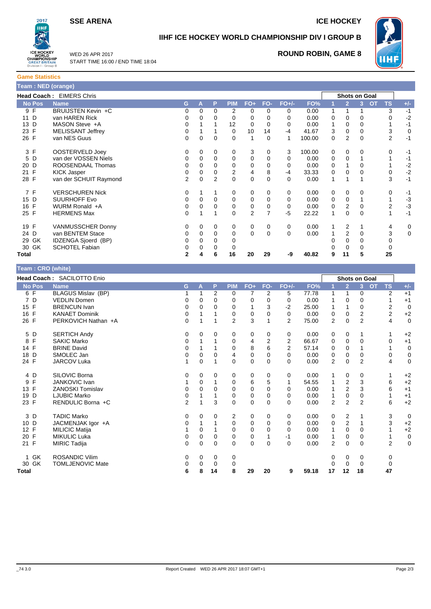**SSE ARENA ICE HOCKEY** 



# **IIHF ICE HOCKEY WORLD CHAMPIONSHIP DIV I GROUP B**



WED 26 APR 2017 START TIME 16:00 / END TIME 18:04

## **ROUND ROBIN, GAME 8**

**Game Statistics Team : NED (orange)**

| <b>Team: NED (orange)</b> |                          |          |          |             |                |                |                |          |        |   |                      |          |                        |       |
|---------------------------|--------------------------|----------|----------|-------------|----------------|----------------|----------------|----------|--------|---|----------------------|----------|------------------------|-------|
|                           | Head Coach: EIMERS Chris |          |          |             |                |                |                |          |        |   | <b>Shots on Goal</b> |          |                        |       |
| <b>No Pos</b>             | <b>Name</b>              | G.       | A        | P           | <b>PIM</b>     | FO+            | FO-            | FO+/-    | FO%    |   | $\overline{2}$       | 3        | <b>OT</b><br><b>TS</b> | $+/-$ |
| 9 F                       | BRUIJSTEN Kevin +C       | 0        | 0        | $\Omega$    | 2              | 0              | 0              | 0        | 0.00   |   |                      |          | 3                      | $-1$  |
| 11 D                      | van HAREN Rick           | 0        | 0        | 0           | 0              | 0              | 0              | 0        | 0.00   | 0 | 0                    | 0        | 0                      | $-2$  |
| 13 D                      | MASON Steve +A           | 0        |          |             | 12             | 0              | 0              | 0        | 0.00   | 1 | 0                    | 0        |                        | $-1$  |
| 23 F                      | <b>MELISSANT Jeffrey</b> | 0        |          |             | $\Omega$       | 10             | 14             | $-4$     | 41.67  | 3 | 0                    | 0        | 3                      | 0     |
| 26 F                      | van NES Guus             | $\Omega$ | 0        | $\mathbf 0$ | 0              | 1              | 0              |          | 100.00 | 0 | $\overline{2}$       | 0        | $\overline{2}$         | $-1$  |
| 3 F                       | OOSTERVELD Joey          | 0        | 0        | 0           | 0              | 3              | 0              | 3        | 100.00 | 0 | 0                    | 0        | 0                      | $-1$  |
| 5 D                       | van der VOSSEN Niels     | 0        | 0        | $\Omega$    | $\Omega$       | 0              | 0              | 0        | 0.00   | 0 | $\Omega$             |          |                        | $-1$  |
| 20 D                      | ROOSENDAAL Thomas        | 0        | 0        | 0           | 0              | 0              | 0              | 0        | 0.00   | 0 |                      | 0        |                        | $-2$  |
| 21 F                      | <b>KICK Jasper</b>       | 0        | 0        | $\Omega$    | $\overline{2}$ | 4              | 8              | $-4$     | 33.33  | 0 | 0                    | 0        | 0                      | $-2$  |
| 28 F                      | van der SCHUIT Raymond   | 2        | 0        | 2           | $\Omega$       | $\mathbf 0$    | 0              | $\Omega$ | 0.00   | 1 |                      |          | 3                      | $-1$  |
| 7 F                       | <b>VERSCHUREN Nick</b>   | 0        |          | 1           | 0              | 0              | 0              | 0        | 0.00   | 0 | 0                    | 0        | 0                      | $-1$  |
| 15 D                      | <b>SUURHOFF Evo</b>      | 0        | 0        | $\Omega$    | 0              | 0              | 0              | 0        | 0.00   | 0 | 0                    |          |                        | $-3$  |
| 16 F                      | WURM Ronald +A           | 0        | 0        | 0           | 0              | $\mathbf 0$    | 0              | 0        | 0.00   | 0 | 2                    | 0        | 2                      | $-3$  |
| 25 F                      | <b>HERMENS Max</b>       | $\Omega$ |          |             | 0              | $\overline{2}$ | $\overline{7}$ | -5       | 22.22  | 1 | 0                    | $\Omega$ | 1                      | $-1$  |
| 19 F                      | <b>VANMUSSCHER Donny</b> | 0        | 0        | 0           | 0              | 0              | 0              | 0        | 0.00   |   | 2                    |          | 4                      | 0     |
| 24 D                      | van BENTEM Stace         | 0        | $\Omega$ | 0           | 0              | $\mathbf 0$    | $\mathbf 0$    | 0        | 0.00   |   | 2                    | $\Omega$ | 3                      | 0     |
| 29 GK                     | IDZENGA Sjoerd (BP)      | 0        | 0        | 0           | 0              |                |                |          |        |   | 0                    | 0        | 0                      |       |
| 30 GK                     | <b>SCHOTEL Fabian</b>    | 0        | 0        | 0           | 0              |                |                |          |        |   | 0                    | 0        | 0                      |       |
| Total                     |                          | 2        |          | 6           | 16             | 20             | 29             | -9       | 40.82  | 9 | 11                   | 5        | 25                     |       |

### **Team : CRO (white)**

|                     | Head Coach: SACILOTTO Enio |                |          |          |                |             |             |                |       |                |                | <b>Shots on Goal</b> |                        |             |
|---------------------|----------------------------|----------------|----------|----------|----------------|-------------|-------------|----------------|-------|----------------|----------------|----------------------|------------------------|-------------|
| <b>No Pos</b>       | <b>Name</b>                | G              | A        | P        | <b>PIM</b>     | $FO+$       | FO-         | $FO+/-$        | FO%   |                | $\overline{2}$ | 3                    | <b>OT</b><br><b>TS</b> | $+/-$       |
| 6 F                 | <b>BLAGUS Mislav (BP)</b>  |                |          | 2        | 0              | 7           | 2           | 5              | 77.78 | 1              | 1              | 0                    | 2                      | $+1$        |
| $\overline{7}$<br>D | <b>VEDLIN Domen</b>        | 0              | $\Omega$ | 0        | 0              | 0           | 0           | 0              | 0.00  | 1              | 0              | 0                    |                        | $+1$        |
| 15 F                | <b>BRENCUN Ivan</b>        | 0              | $\Omega$ | $\Omega$ | 0              |             | 3           | $-2$           | 25.00 | 1              |                | 0                    | 2                      | $\mathbf 0$ |
| F<br>16             | <b>KANAET Dominik</b>      | 0              |          |          | 0              | 0           | 0           | 0              | 0.00  | 0              | 0              | $\overline{2}$       | $\overline{2}$         | $+2$        |
| 26 F                | PERKOVICH Nathan +A        | 0              |          |          | $\overline{2}$ | 3           |             | $\overline{2}$ | 75.00 | $\overline{2}$ | $\mathbf 0$    | $\overline{2}$       | 4                      | $\mathbf 0$ |
| 5 D                 | <b>SERTICH Andy</b>        | 0              | $\Omega$ | 0        | 0              | 0           | 0           | 0              | 0.00  | 0              | 0              |                      |                        | $+2$        |
| F<br>8              | <b>SAKIC Marko</b>         | 0              |          |          | 0              | 4           | 2           | 2              | 66.67 | 0              | 0              | 0                    | 0                      | $+1$        |
| F<br>14             | <b>BRINE David</b>         | 0              |          |          | 0              | 8           | 6           | $\overline{2}$ | 57.14 | 0              | 0              |                      |                        | $\mathbf 0$ |
| D<br>18             | SMOLEC Jan                 | 0              | 0        | 0        | 4              | 0           | 0           | $\mathbf 0$    | 0.00  | 0              | 0              | 0                    | 0                      | 0           |
| 24 F                | JARCOV Luka                | 1              | 0        |          | 0              | $\mathbf 0$ | $\Omega$    | $\Omega$       | 0.00  | 2              | $\mathbf 0$    | $\overline{2}$       | 4                      | $\mathbf 0$ |
| 4 D                 | SILOVIC Borna              | 0              | 0        | 0        | 0              | 0           | 0           | 0              | 0.00  | 1              | 0              | 0                    |                        | $+2$        |
| F<br>9              | <b>JANKOVIC Ivan</b>       |                | 0        |          | 0              | 6           | 5           | 1              | 54.55 |                | $\overline{c}$ | 3                    | 6                      | $+2$        |
| F<br>13             | <b>ZANOSKI Tomislav</b>    | 0              | $\Omega$ | 0        | 0              | 0           | 0           | 0              | 0.00  | 1              | $\overline{2}$ | 3                    | 6                      | $+1$        |
| D<br>19             | <b>LJUBIC Marko</b>        | 0              |          |          | 0              | 0           | $\mathbf 0$ | $\mathbf 0$    | 0.00  |                | $\mathbf 0$    | 0                    |                        | $+1$        |
| 23 F                | RENDULIC Borna +C          | $\overline{2}$ |          | 3        | 0              | 0           | $\Omega$    | $\Omega$       | 0.00  | $\overline{2}$ | $\overline{2}$ | $\overline{2}$       | 6                      | $+2$        |
| 3 D                 | <b>TADIC Marko</b>         | 0              | 0        | 0        | 2              | 0           | 0           | 0              | 0.00  | 0              | 2              |                      | 3                      | 0           |
| 10 D                | JACMENJAK Igor +A          | 0              |          |          | 0              | 0           | $\Omega$    | $\Omega$       | 0.00  | 0              | 2              |                      | 3                      | $+2$        |
| 12 F                | <b>MILICIC Matija</b>      |                | $\Omega$ |          | 0              | 0           | 0           | 0              | 0.00  | 1              | 0              | 0                    |                        | $+2$        |
| F<br>20             | <b>MIKULIC Luka</b>        | 0              | $\Omega$ | 0        | 0              | 0           |             | $-1$           | 0.00  | 1              | 0              | 0                    |                        | $\mathbf 0$ |
| 21 F                | <b>MIRIC Tadija</b>        | 0              | 0        | 0        | 0              | 0           | $\mathbf 0$ | $\Omega$       | 0.00  | 2              | 0              | 0                    | $\overline{2}$         | $\mathbf 0$ |
| GK<br>1             | <b>ROSANDIC Vilim</b>      | 0              | 0        | 0        | 0              |             |             |                |       | 0              | 0              | 0                    | 0                      |             |
| 30 GK               | <b>TOMLJENOVIC Mate</b>    | 0              | 0        | 0        | 0              |             |             |                |       | 0              | 0              | 0                    | 0                      |             |
| Total               |                            | 6              | 8        | 14       | 8              | 29          | 20          | 9              | 59.18 | 17             | 12             | 18                   | 47                     |             |